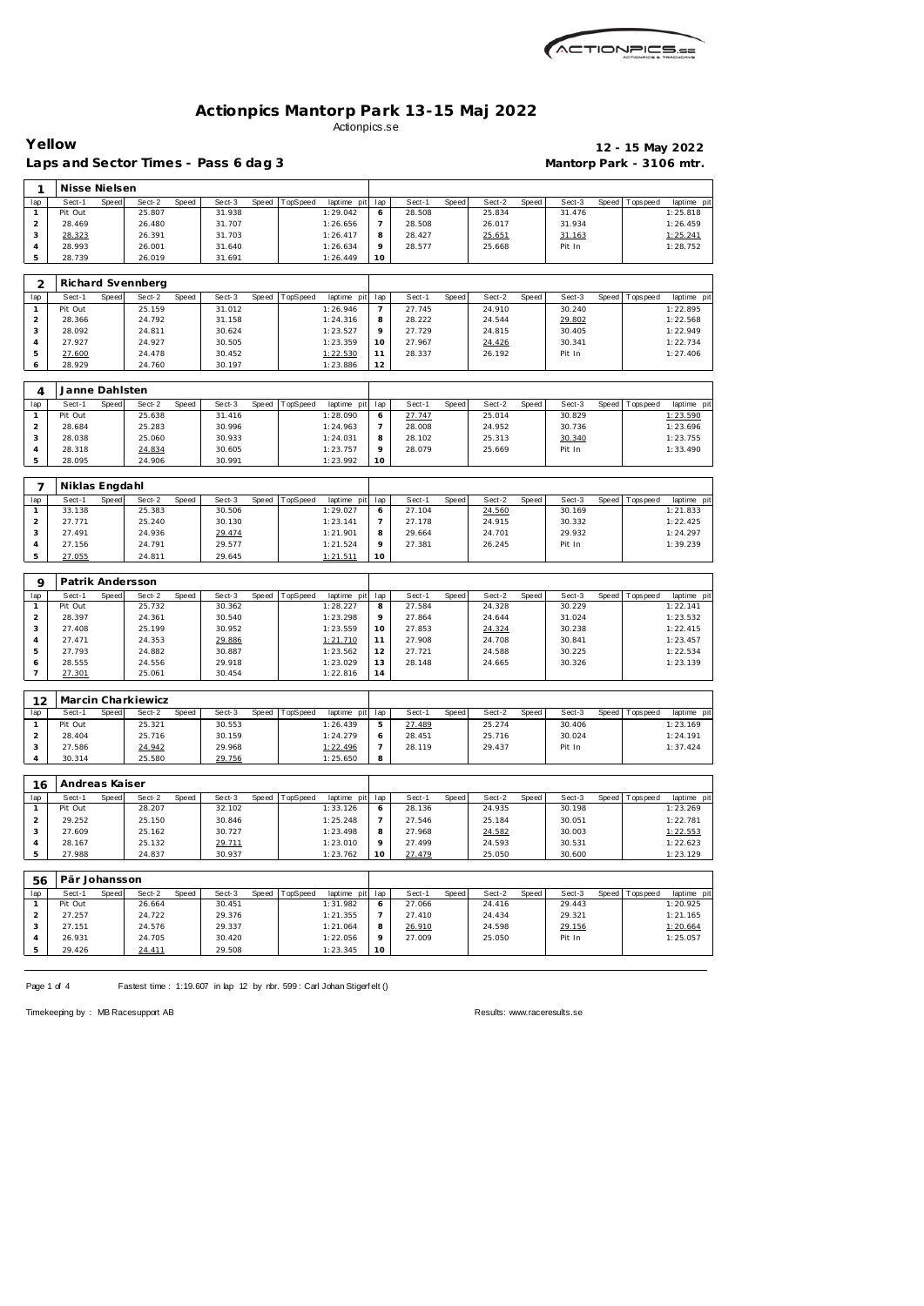

**Yellow 12 - 15 May 2022**

|                     | Laps and Sector Times - Pass 6 dag 3 |       |                               |       |                  |       |                |                         |          |                  |       |                  | Mantorp Park - 3106 mtr. |                  |       |                |                         |
|---------------------|--------------------------------------|-------|-------------------------------|-------|------------------|-------|----------------|-------------------------|----------|------------------|-------|------------------|--------------------------|------------------|-------|----------------|-------------------------|
| $\mathbf{1}$        | Nisse Nielsen                        |       |                               |       |                  |       |                |                         |          |                  |       |                  |                          |                  |       |                |                         |
| lap                 | Sect-1                               | Speed | Sect-2                        | Speed | Sect-3           | Speed | TopSpeed       | laptime pit             | lap      | Sect-1           | Speed | Sect-2           | Speed                    | Sect-3           |       | Speed Topspeed | laptime pit             |
| $\mathbf{1}$        | Pit Out                              |       | 25.807                        |       | 31.938           |       |                | 1:29.042                | 6        | 28.508           |       | 25.834           |                          | 31.476           |       |                | 1:25.818                |
| $\overline{2}$      | 28.469                               |       | 26.480                        |       | 31.707           |       |                | 1:26.656                | 7        | 28.508           |       | 26.017           |                          | 31.934           |       |                | 1:26.459                |
| 3                   | 28.323                               |       | 26.391                        |       | 31.703           |       |                | 1:26.417                | 8        | 28.427           |       | 25.651           |                          | 31.163           |       |                | 1:25.241                |
| $\overline{4}$      | 28.993                               |       | 26.001                        |       | 31.640           |       |                | 1:26.634                | 9        | 28.577           |       | 25.668           |                          | Pit In           |       |                | 1:28.752                |
| 5                   | 28.739                               |       | 26.019                        |       | 31.691           |       |                | 1:26.449                | 10       |                  |       |                  |                          |                  |       |                |                         |
|                     |                                      |       |                               |       |                  |       |                |                         |          |                  |       |                  |                          |                  |       |                |                         |
| 2                   |                                      |       | Richard Svennberg             |       |                  |       |                |                         |          |                  |       |                  |                          |                  |       |                |                         |
| lap                 | Sect-1                               | Speed | Sect-2                        | Speed | Sect-3           | Speed | TopSpeed       | laptime pit             | lap      | Sect-1           | Speed | Sect-2           | Speed                    | Sect-3           | Speed | Tops peed      | laptime pit             |
| $\mathbf{1}$        | Pit Out                              |       | 25.159                        |       | 31.012           |       |                | 1:26.946                | 7        | 27.745           |       | 24.910           |                          | 30.240           |       |                | 1:22.895                |
| $\overline{2}$      | 28.366                               |       | 24.792                        |       | 31.158           |       |                | 1:24.316                | 8        | 28.222           |       | 24.544           |                          | 29.802           |       |                | 1:22.568                |
| 3                   | 28.092                               |       | 24.811                        |       | 30.624           |       |                | 1:23.527                | 9        | 27.729           |       | 24.815           |                          | 30.405           |       |                | 1:22.949                |
| $\overline{4}$      | 27.927                               |       | 24.927                        |       | 30.505           |       |                | 1:23.359                | 10       | 27.967           |       | 24.426           |                          | 30.341           |       |                | 1:22.734                |
| 5                   | 27.600                               |       | 24.478                        |       | 30.452           |       |                | 1:22.530                | 11       | 28.337           |       | 26.192           |                          | Pit In           |       |                | 1:27.406                |
| 6                   | 28.929                               |       | 24.760                        |       | 30.197           |       |                | 1:23.886                | 12       |                  |       |                  |                          |                  |       |                |                         |
|                     | Janne Dahlsten                       |       |                               |       |                  |       |                |                         |          |                  |       |                  |                          |                  |       |                |                         |
| 4                   |                                      |       |                               |       |                  |       |                |                         |          |                  |       |                  |                          |                  |       |                |                         |
| lap<br>$\mathbf{1}$ | Sect-1<br>Pit Out                    | Speed | Sect-2<br>25.638              | Speed | Sect-3<br>31.416 | Speed | TopSpeed       | laptime pit<br>1:28.090 | lap<br>6 | Sect-1<br>27.747 | Speed | Sect-2<br>25.014 | Speed                    | Sect-3<br>30.829 | Speed | Tops peed      | laptime pit<br>1:23.590 |
| $\overline{2}$      | 28.684                               |       | 25.283                        |       | 30.996           |       |                | 1:24.963                | 7        | 28.008           |       | 24.952           |                          | 30.736           |       |                | 1:23.696                |
| 3                   | 28.038                               |       | 25.060                        |       | 30.933           |       |                | 1:24.031                | 8        | 28.102           |       | 25.313           |                          | 30.340           |       |                | 1:23.755                |
| $\overline{4}$      | 28.318                               |       | 24.834                        |       | 30.605           |       |                | 1:23.757                | 9        | 28.079           |       | 25.669           |                          | Pit In           |       |                | 1:33.490                |
| 5                   | 28.095                               |       | 24.906                        |       | 30.991           |       |                | 1:23.992                | 10       |                  |       |                  |                          |                  |       |                |                         |
|                     |                                      |       |                               |       |                  |       |                |                         |          |                  |       |                  |                          |                  |       |                |                         |
| $\overline{7}$      | Niklas Engdahl                       |       |                               |       |                  |       |                |                         |          |                  |       |                  |                          |                  |       |                |                         |
| lap                 | $Sect-1$                             | Speed | Sect-2                        | Speed | Sect-3           | Speed | TopSpeed       | laptime pit             | lap      | Sect-1           | Speed | Sect-2           | Speed                    | Sect-3           |       | Speed Topspeed | laptime pit             |
| $\mathbf{1}$        | 33.138                               |       | 25.383                        |       | 30.506           |       |                | 1:29.027                | 6        | 27.104           |       | 24.560           |                          | 30.169           |       |                | 1:21.833                |
| $\overline{2}$      | 27.771                               |       | 25.240                        |       | 30.130           |       |                | 1:23.141                | 7        | 27.178           |       | 24.915           |                          | 30.332           |       |                | 1:22.425                |
| 3                   | 27.491                               |       | 24.936                        |       | 29.474           |       |                | 1:21.901                | 8        | 29.664           |       | 24.701           |                          | 29.932           |       |                | 1:24.297                |
| $\overline{4}$      | 27.156                               |       | 24.791                        |       | 29.577           |       |                | 1:21.524                | 9        | 27.381           |       | 26.245           |                          | Pit In           |       |                | 1:39.239                |
| 5                   | 27.055                               |       | 24.811                        |       | 29.645           |       |                | 1:21.511                | 10       |                  |       |                  |                          |                  |       |                |                         |
|                     |                                      |       |                               |       |                  |       |                |                         |          |                  |       |                  |                          |                  |       |                |                         |
| 9                   | Patrik Andersson                     |       |                               |       |                  |       |                |                         |          |                  |       |                  |                          |                  |       |                |                         |
|                     |                                      |       |                               |       |                  |       |                |                         |          |                  |       |                  |                          |                  |       |                |                         |
| lap                 | Sect-1                               | Speed | Sect-2                        | Speed | Sect-3           | Speed | TopSpeed       | laptime pit             | lap      | Sect-1           | Speed | Sect-2           | Speed                    | Sect-3           |       | Speed Topspeed | laptime pit             |
| $\mathbf{1}$        | Pit Out                              |       | 25.732                        |       | 30.362           |       |                | 1:28.227                | 8        | 27.584           |       | 24.328           |                          | 30.229           |       |                | 1:22.141                |
| $\overline{2}$      | 28.397                               |       | 24.361                        |       | 30.540           |       |                | 1:23.298                | 9        | 27.864           |       | 24.644           |                          | 31.024           |       |                | 1:23.532                |
| 3<br>$\overline{4}$ | 27.408<br>27.471                     |       | 25.199<br>24.353              |       | 30.952           |       |                | 1:23.559                | 10<br>11 | 27.853<br>27.908 |       | 24.324<br>24.708 |                          | 30.238<br>30.841 |       |                | 1:22.415<br>1:23.457    |
| 5                   | 27.793                               |       | 24.882                        |       | 29.886<br>30.887 |       |                | 1:21.710<br>1:23.562    | 12       | 27.721           |       | 24.588           |                          | 30.225           |       |                | 1:22.534                |
| 6                   | 28.555                               |       | 24.556                        |       | 29.918           |       |                | 1:23.029                | 13       | 28.148           |       | 24.665           |                          | 30.326           |       |                | 1:23.139                |
| $\overline{7}$      | 27.301                               |       | 25.061                        |       | 30.454           |       |                | 1:22.816                | 14       |                  |       |                  |                          |                  |       |                |                         |
|                     |                                      |       |                               |       |                  |       |                |                         |          |                  |       |                  |                          |                  |       |                |                         |
| 12                  |                                      |       | Marcin Charkiewicz            |       |                  |       |                |                         |          |                  |       |                  |                          |                  |       |                |                         |
|                     |                                      |       | lap Sect-1 Speed Sect-2 Speed |       | Sect-3           |       | Speed TopSpeed | laptime pit lap         |          | Sect-1           | Speed | Sect-2           | Speed                    | Sect-3           |       | Speed Topspeed |                         |
| $\mathbf{1}$        | Pit Out                              |       | 25.321                        |       | 30.553           |       |                | 1:26.439                | 5        | 27.489           |       | 25.274           |                          | 30.406           |       |                | 1:23.169                |
| $\overline{2}$      | 28.404                               |       | 25.716                        |       | 30.159           |       |                | 1:24.279                | 6        | 28.451           |       | 25.716           |                          | 30.024           |       |                | 1:24.191                |
| 3                   | 27.586                               |       | 24.942                        |       | 29.968           |       |                | 1:22.496                | 7        | 28.119           |       | 29.437           |                          | Pit In           |       |                | laptime pit<br>1:37.424 |
| $\overline{4}$      | 30.314                               |       | 25.580                        |       | 29.756           |       |                | 1:25.650                | 8        |                  |       |                  |                          |                  |       |                |                         |
|                     |                                      |       |                               |       |                  |       |                |                         |          |                  |       |                  |                          |                  |       |                |                         |
| 16                  | Andreas Kaiser                       |       |                               |       |                  |       |                |                         |          |                  |       |                  |                          |                  |       |                |                         |
| lap                 | Sect-1                               | Speed | Sect-2                        | Speed | Sect-3           | Speed | TopSpeed       | laptime pit             | lap      | Sect-1           | Speed | Sect-2           | Speed                    | Sect-3           |       | Speed Topspeed | laptime pit             |
| $\mathbf{1}$<br>2   | Pit Out<br>29.252                    |       | 28.207<br>25.150              |       | 32.102<br>30.846 |       |                | 1:33.126                | 6<br>7   | 28.136<br>27.546 |       | 24.935<br>25.184 |                          | 30.198<br>30.051 |       |                | 1:23.269                |
| 3                   | 27.609                               |       | 25.162                        |       | 30.727           |       |                | 1:25.248<br>1:23.498    | 8        | 27.968           |       | 24.582           |                          | 30.003           |       |                | 1:22.781<br>1:22.553    |
| 4                   | 28.167                               |       | 25.132                        |       | 29.711           |       |                | 1:23.010                | 9        | 27.499           |       | 24.593           |                          | 30.531           |       |                | 1:22.623                |
| 5                   | 27.988                               |       | 24.837                        |       | 30.937           |       |                | 1:23.762                | 10       | 27.479           |       | 25.050           |                          | 30.600           |       |                | 1:23.129                |
|                     |                                      |       |                               |       |                  |       |                |                         |          |                  |       |                  |                          |                  |       |                |                         |
| 56                  | Pär Johansson                        |       |                               |       |                  |       |                |                         |          |                  |       |                  |                          |                  |       |                |                         |
| lap                 | Sect-1                               | Speed | Sect-2                        | Speed | Sect-3           | Speed | TopSpeed       | laptime pit             | lap      | Sect-1           | Speed | Sect-2           | Speed                    | Sect-3           |       | Speed Topspeed | laptime pit             |
| $\mathbf{1}$        | Pit Out                              |       | 26.664                        |       | 30.451           |       |                | 1:31.982                | 6        | 27.066           |       | 24.416           |                          | 29.443           |       |                | 1:20.925                |
| 2                   | 27.257                               |       | 24.722                        |       | 29.376           |       |                | 1:21.355                | 7        | 27.410           |       | 24.434           |                          | 29.321           |       |                | 1:21.165                |
| 3                   | 27.151                               |       | 24.576                        |       | 29.337           |       |                | 1:21.064                | 8        | 26.910           |       | 24.598           |                          | 29.156           |       |                | 1:20.664                |
| 4<br>5              | 26.931<br>29.426                     |       | 24.705<br>24.411              |       | 30.420<br>29.508 |       |                | 1:22.056<br>1:23.345    | 9<br>10  | 27.009           |       | 25.050           |                          | Pit In           |       |                | 1:25.057                |

Page 1 of 4 Fastest time : 1:19.607 in lap 12 by nbr. 599 : Carl Johan Stigerf elt ()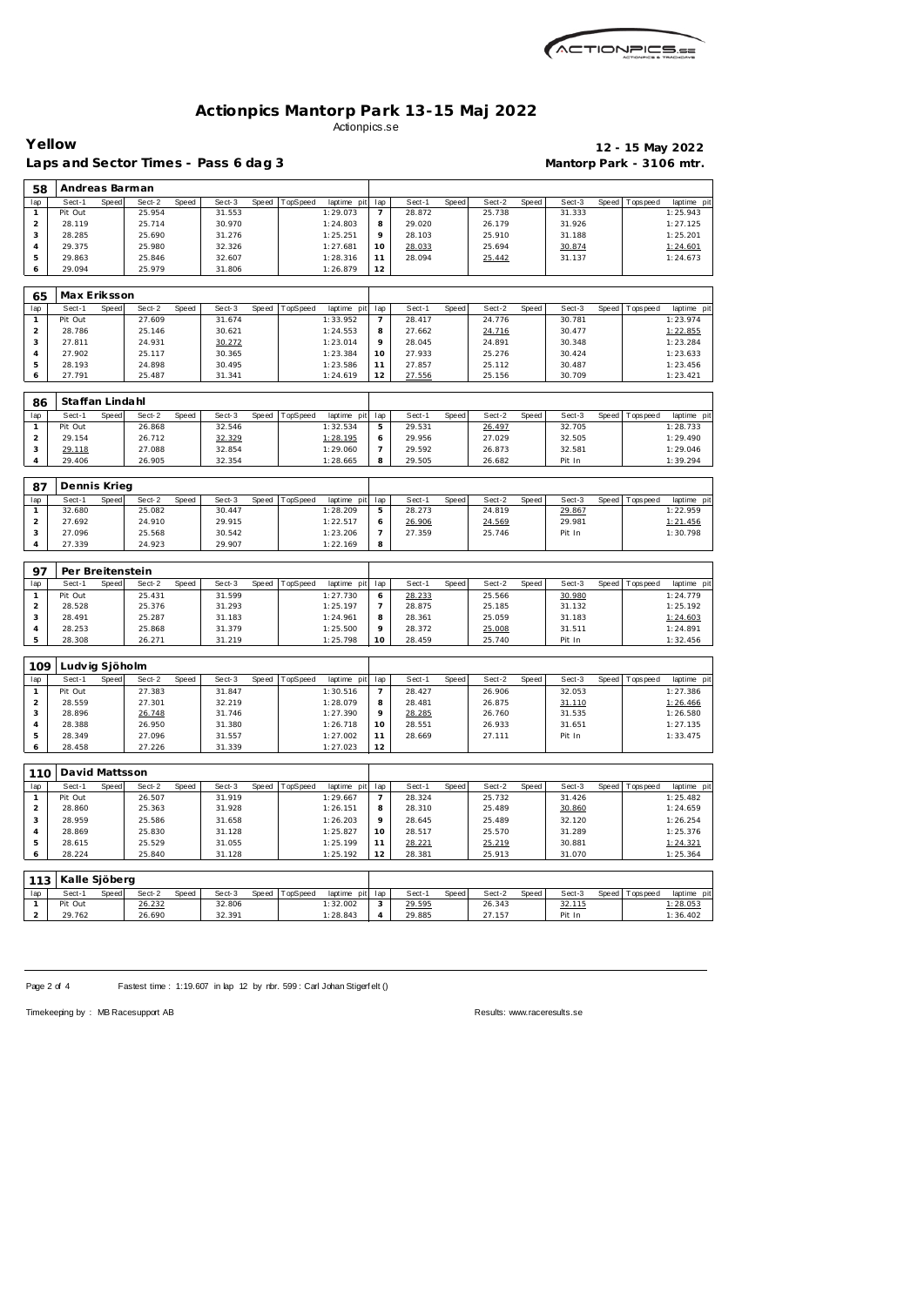

| Yellow                  |                           |       |                  |       | Laps and Sector Times - Pass 6 dag 3 |       |          |                         |                          |                  |       |                  |       | Mantorp Park - 3106 mtr. |       |                 | 12 - 15 May 2022       |
|-------------------------|---------------------------|-------|------------------|-------|--------------------------------------|-------|----------|-------------------------|--------------------------|------------------|-------|------------------|-------|--------------------------|-------|-----------------|------------------------|
| 58                      | Andreas Barman            |       |                  |       |                                      |       |          |                         |                          |                  |       |                  |       |                          |       |                 |                        |
| lap                     | Sect-1                    | Speed | Sect-2           | Speed | Sect-3                               | Speed | TopSpeed | laptime pit             | lap                      | Sect-1           | Speed | Sect-2           | Speed | Sect-3                   | Speed | Tops peed       | laptime pi             |
| $\mathbf{1}$            | Pit Out                   |       | 25.954           |       | 31.553                               |       |          | 1:29.073                | $\overline{7}$           | 28.872           |       | 25.738           |       | 31.333                   |       |                 | 1:25.943               |
| $\overline{c}$          | 28.119                    |       | 25.714           |       | 30.970                               |       |          | 1:24.803                | 8                        | 29.020           |       | 26.179           |       | 31.926                   |       |                 | 1:27.125               |
| 3                       | 28.285                    |       | 25.690           |       | 31.276                               |       |          | 1:25.251                | 9                        | 28.103           |       | 25.910           |       | 31.188                   |       |                 | 1:25.201               |
| 4                       | 29.375                    |       | 25.980           |       | 32.326                               |       |          | 1:27.681                | 10                       | 28.033           |       | 25.694           |       | 30.874                   |       |                 | 1:24.601               |
| 5<br>6                  | 29.863<br>29.094          |       | 25.846<br>25.979 |       | 32.607<br>31.806                     |       |          | 1:28.316<br>1:26.879    | 11<br>12                 | 28.094           |       | 25.442           |       | 31.137                   |       |                 | 1:24.673               |
|                         |                           |       |                  |       |                                      |       |          |                         |                          |                  |       |                  |       |                          |       |                 |                        |
| 65                      | Max Eriksson              |       |                  |       |                                      |       |          |                         |                          |                  |       |                  |       |                          |       |                 |                        |
| lap                     | Sect-1                    | Speed | Sect-2           | Speed | Sect-3                               | Speed | TopSpeed | laptime pit             | lap                      | Sect-1           | Speed | Sect-2           | Speed | Sect-3                   | Speed | Tops peed       | laptime pi             |
| 1                       | Pit Out                   |       | 27.609           |       | 31.674                               |       |          | 1:33.952                | $\overline{\phantom{a}}$ | 28.417           |       | 24.776           |       | 30.781                   |       |                 | 1:23.974               |
| $\overline{c}$          | 28.786                    |       | 25.146           |       | 30.621                               |       |          | 1:24.553                | 8<br>9                   | 27.662           |       | 24.716           |       | 30.477                   |       |                 | 1:22.855               |
| 3<br>$\overline{4}$     | 27.811<br>27.902          |       | 24.931<br>25.117 |       | 30.272<br>30.365                     |       |          | 1:23.014                | 10                       | 28.045<br>27.933 |       | 24.891<br>25.276 |       | 30.348<br>30.424         |       |                 | 1:23.284<br>1:23.633   |
| 5                       | 28.193                    |       | 24.898           |       | 30.495                               |       |          | 1:23.384<br>1:23.586    | 11                       | 27.857           |       | 25.112           |       | 30.487                   |       |                 | 1:23.456               |
| 6                       | 27.791                    |       | 25.487           |       | 31.341                               |       |          | 1:24.619                | 12                       | 27.556           |       | 25.156           |       | 30.709                   |       |                 | 1:23.421               |
|                         |                           |       |                  |       |                                      |       |          |                         |                          |                  |       |                  |       |                          |       |                 |                        |
| 86<br>lap               | Staffan Lindahl<br>Sect-1 | Speed | Sect-2           | Speed | Sect-3                               | Speed | TopSpeed | laptime pit             | lap                      | Sect-1           | Speed | Sect-2           | Speed | Sect-3                   | Speed | Tops peed       | laptime pi             |
| $\mathbf{1}$            | Pit Out                   |       | 26.868           |       | 32.546                               |       |          | 1:32.534                | 5                        | 29.531           |       | 26.497           |       | 32.705                   |       |                 | 1:28.733               |
| 2                       | 29.154                    |       | 26.712           |       | 32.329                               |       |          | 1:28.195                | 6                        | 29.956           |       | 27.029           |       | 32.505                   |       |                 | 1:29.490               |
| 3                       | 29.118                    |       | 27.088           |       | 32.854                               |       |          | 1:29.060                | $\overline{7}$           | 29.592           |       | 26.873           |       | 32.581                   |       |                 | 1:29.046               |
| $\overline{4}$          | 29.406                    |       | 26.905           |       | 32.354                               |       |          | 1:28.665                | 8                        | 29.505           |       | 26.682           |       | Pit In                   |       |                 | 1:39.294               |
| 87                      | Dennis Krieg              |       |                  |       |                                      |       |          |                         |                          |                  |       |                  |       |                          |       |                 |                        |
| lap                     | Sect-1                    | Speed | Sect-2           | Speed | Sect-3                               | Speed | TopSpeed | laptime pit             | lap                      | Sect-1           | Speed | Sect-2           | Speed | Sect-3                   | Speed | Tops pee d      | laptime pi             |
| 1                       | 32.680                    |       | 25.082           |       | 30.447                               |       |          | 1:28.209                | 5                        | 28.273           |       | 24.819           |       | 29.867                   |       |                 | 1:22.959               |
| $\overline{c}$          | 27.692                    |       | 24.910           |       | 29.915                               |       |          | 1:22.517                | 6                        | 26.906           |       | 24.569           |       | 29.981                   |       |                 | 1:21.456               |
| 3                       | 27.096                    |       | 25.568           |       | 30.542                               |       |          | 1:23.206                | 7                        | 27.359           |       | 25.746           |       | Pit In                   |       |                 | 1:30.798               |
| $\overline{4}$          | 27.339                    |       | 24.923           |       | 29.907                               |       |          | 1:22.169                | 8                        |                  |       |                  |       |                          |       |                 |                        |
| 97                      | Per Breitenstein          |       |                  |       |                                      |       |          |                         |                          |                  |       |                  |       |                          |       |                 |                        |
| lap                     | Sect-1                    | Speed | Sect-2           | Speed | Sect-3                               | Speed | TopSpeed | laptime pit             | lap                      | Sect-1           | Speed | Sect-2           | Speed | Sect-3                   | Speed | T ops pee d     | laptime pi             |
| 1                       | Pit Out                   |       | 25.431           |       | 31.599                               |       |          | 1:27.730                | 6                        | 28.233           |       | 25.566           |       | 30.980                   |       |                 | 1:24.779               |
| $\overline{c}$          | 28.528                    |       | 25.376           |       | 31.293                               |       |          | 1:25.197                | $\overline{\phantom{a}}$ | 28.875           |       | 25.185           |       | 31.132                   |       |                 | 1:25.192               |
| 3                       | 28.491                    |       | 25.287           |       | 31.183                               |       |          | 1:24.961                | 8                        | 28.361           |       | 25.059           |       | 31.183                   |       |                 | 1:24.603               |
| $\overline{4}$          | 28.253                    |       | 25.868           |       | 31.379                               |       |          | 1:25.500                | 9                        | 28.372           |       | 25.008           |       | 31.511                   |       |                 | 1:24.891               |
| 5                       | 28.308                    |       | 26.271           |       | 31.219                               |       |          | 1:25.798                | 10                       | 28.459           |       | 25.740           |       | Pit In                   |       |                 | 1:32.456               |
| 109                     | Ludvig Sjöholm            |       |                  |       |                                      |       |          |                         |                          |                  |       |                  |       |                          |       |                 |                        |
| lap                     | Sect-1                    | Speed | Sect-2           | Speed | Sect-3                               | Speed | TopSpeed | laptime pit             | lap                      | Sect-1           | Speed | Sect-2           | Speed | Sect-3                   | Speed | Tops peed       | laptime pi             |
| $\mathbf{1}$            | Pit Out                   |       | 27.383           |       | 31.847                               |       |          | 1:30.516                | $\overline{7}$           | 28.427           |       | 26.906           |       | 32.053                   |       |                 | 1:27.386               |
| $\overline{a}$          | 28.559                    |       | 27.301           |       | 32.219                               |       |          | 1:28.079                | 8                        | 28.481           |       | 26.875           |       | 31.110                   |       |                 | 1:26.466               |
| 3                       | 28.896                    |       | 26.748           |       | 31.746                               |       |          | 1:27.390                | 9                        | 28.285           |       | 26.760           |       | 31.535                   |       |                 | 1:26.580               |
| 4                       | 28.388                    |       | 26.950           |       | 31.380                               |       |          | 1:26.718                | 10                       | 28.551           |       | 26.933           |       | 31.651                   |       |                 | 1:27.135               |
| 5<br>6                  | 28.349<br>28.458          |       | 27.096<br>27.226 |       | 31.557<br>31.339                     |       |          | 1:27.002<br>1:27.023    | 11<br>12                 | 28.669           |       | 27.111           |       | Pit In                   |       |                 | 1:33.475               |
|                         |                           |       |                  |       |                                      |       |          |                         |                          |                  |       |                  |       |                          |       |                 |                        |
| 110<br>lap              | David Mattsson<br>Sect-1  | Speed | Sect-2           | Speed | Sect-3                               | Speed | TopSpeed | laptime pit             | lap                      | Sect-1           | Speed | Sect-2           | Speed | Sect-3                   | Speed | Tops peed       | laptime pi             |
| $\mathbf{1}$            | Pit Out                   |       | 26.507           |       | 31.919                               |       |          | 1:29.667                | $\overline{7}$           | 28.324           |       | 25.732           |       | 31.426                   |       |                 | 1:25.482               |
| $\overline{\mathbf{c}}$ | 28.860                    |       | 25.363           |       | 31.928                               |       |          | 1:26.151                | 8                        | 28.310           |       | 25.489           |       | 30.860                   |       |                 | 1:24.659               |
| 3                       | 28.959                    |       | 25.586           |       | 31.658                               |       |          | 1:26.203                | 9                        | 28.645           |       | 25.489           |       | 32.120                   |       |                 | 1:26.254               |
| 4                       | 28.869                    |       | 25.830           |       | 31.128                               |       |          | 1:25.827                | 10                       | 28.517           |       | 25.570           |       | 31.289                   |       |                 | 1:25.376               |
|                         | 28.615                    |       | 25.529           |       | 31.055                               |       |          | 1:25.199                | 11                       | 28.221           |       | 25.219           |       | 30.881                   |       |                 | 1:24.321               |
|                         |                           |       |                  |       |                                      |       |          |                         | 12                       |                  |       |                  |       |                          |       |                 |                        |
| 5<br>6                  | 28.224                    |       | 25.840           |       | 31.128                               |       |          | 1:25.192                |                          | 28.381           |       | 25.913           |       | 31.070                   |       |                 | 1:25.364               |
|                         |                           |       |                  |       |                                      |       |          |                         |                          |                  |       |                  |       |                          |       |                 |                        |
| 113                     | Kalle Sjöberg             |       |                  |       |                                      |       |          |                         |                          |                  |       |                  |       |                          |       |                 |                        |
| lap<br>$\mathbf{1}$     | Sect-1<br>Pit Out         | Speed | Sect-2<br>26.232 | Speed | Sect-3<br>32.806                     | Speed | TopSpeed | laptime pit<br>1:32.002 | lap<br>3                 | Sect-1<br>29.595 | Speed | Sect-2<br>26.343 | Speed | Sect-3<br>32.115         | Speed | <b>Topspeed</b> | laptime pi<br>1:28.053 |

Page 2 of 4 Fastest time : 1:19.607 in lap 12 by rbr. 599 : Carl Johan Stigerf elt ()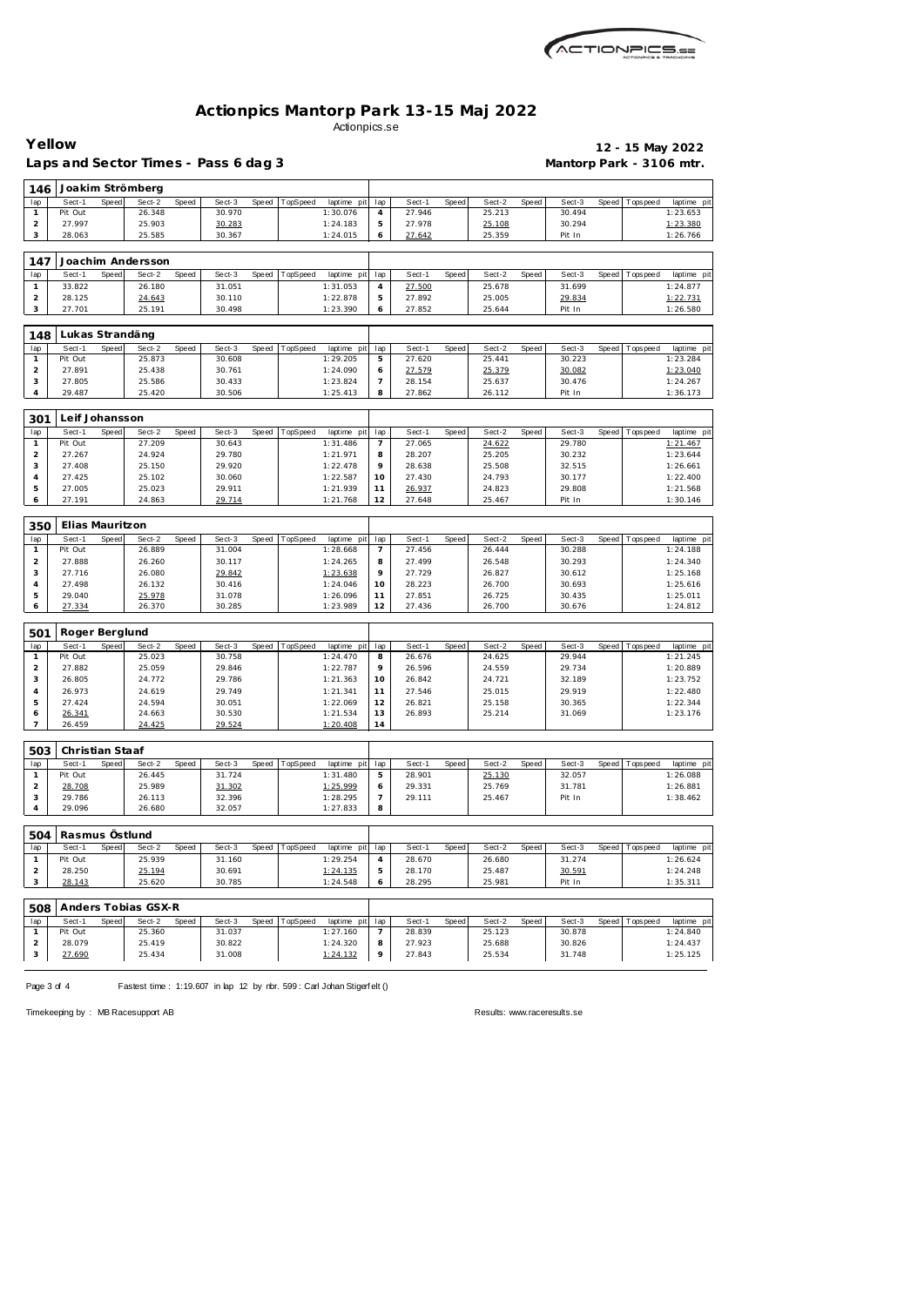

|                     | Yellow          |       |                     |       | Laps and Sector Times - Pass 6 dag 3 |       |          |             |                                 |        |       |        |       |        |       |                  | 12 - 15 May 2022<br>Mantorp Park - 3106 mtr. |
|---------------------|-----------------|-------|---------------------|-------|--------------------------------------|-------|----------|-------------|---------------------------------|--------|-------|--------|-------|--------|-------|------------------|----------------------------------------------|
| 146                 |                 |       | Joakim Strömberg    |       |                                      |       |          |             |                                 |        |       |        |       |        |       |                  |                                              |
| lap                 | Sect-1          | Speed | Sect-2              | Speed | Sect-3                               | Speed | TopSpeed | laptime pit | lap                             | Sect-1 | Speed | Sect-2 | Speed | Sect-3 | Speed | <b>Tops peed</b> | laptime pi                                   |
| $\mathbf{1}$        | Pit Out         |       | 26.348              |       | 30.970                               |       |          | 1:30.076    | 4                               | 27.946 |       | 25.213 |       | 30.494 |       |                  | 1:23.653                                     |
| $\overline{c}$      | 27.997          |       | 25.903              |       | 30.283                               |       |          | 1:24.183    | 5                               | 27.978 |       | 25.108 |       | 30.294 |       |                  | 1:23.380                                     |
| 3                   | 28.063          |       | 25.585              |       | 30.367                               |       |          | 1:24.015    | 6                               | 27.642 |       | 25.359 |       | Pit In |       |                  | 1:26.766                                     |
| 147                 |                 |       | Joachim Andersson   |       |                                      |       |          |             |                                 |        |       |        |       |        |       |                  |                                              |
| lap                 | Sect-1          | Speed | Sect-2              | Speed | Sect-3                               | Speed | TopSpeed | laptime pit | lap                             | Sect-1 | Speed | Sect-2 | Speed | Sect-3 | Speed | Tops peed        | laptime pi                                   |
| $\mathbf{1}$        | 33.822          |       | 26.180              |       | 31.051                               |       |          | 1:31.053    | 4                               | 27.500 |       | 25.678 |       | 31.699 |       |                  | 1:24.877                                     |
| $\overline{a}$      | 28.125          |       | 24.643              |       | 30.110                               |       |          | 1:22.878    | 5                               | 27.892 |       | 25.005 |       | 29.834 |       |                  | 1:22.731                                     |
| 3                   | 27.701          |       | 25.191              |       | 30.498                               |       |          | 1:23.390    | 6                               | 27.852 |       | 25.644 |       | Pit In |       |                  | 1:26.580                                     |
| 148                 | Lukas Strandäng |       |                     |       |                                      |       |          |             |                                 |        |       |        |       |        |       |                  |                                              |
| lap                 | Sect-1          | Speed | Sect-2              | Speed | Sect-3                               | Speed | TopSpeed | laptime pit | lap                             | Sect-1 | Speed | Sect-2 | Speed | Sect-3 | Speed | T ops peed       | laptime pi                                   |
| $\mathbf{1}$        | Pit Out         |       | 25.873              |       | 30.608                               |       |          | 1:29.205    | 5                               | 27.620 |       | 25.441 |       | 30.223 |       |                  | 1:23.284                                     |
| $\overline{c}$      | 27.891          |       | 25.438              |       | 30.761                               |       |          | 1:24.090    | 6                               | 27.579 |       | 25.379 |       | 30.082 |       |                  | 1:23.040                                     |
| 3                   | 27.805          |       | 25.586              |       | 30.433                               |       |          | 1:23.824    | 7                               | 28.154 |       | 25.637 |       | 30.476 |       |                  | 1:24.267                                     |
| 4                   | 29.487          |       | 25.420              |       | 30.506                               |       |          | 1:25.413    | 8                               | 27.862 |       | 26.112 |       | Pit In |       |                  | 1:36.173                                     |
| 301                 | Leif Johansson  |       |                     |       |                                      |       |          |             |                                 |        |       |        |       |        |       |                  |                                              |
| lap                 | Sect-1          | Speed | Sect-2              | Speed | Sect-3                               | Speed | TopSpeed | laptime pit | lap                             | Sect-1 | Speed | Sect-2 | Speed | Sect-3 | Speed | Tops peed        | laptime pit                                  |
| $\mathbf{1}$        | Pit Out         |       | 27.209              |       | 30.643                               |       |          | 1:31.486    | 7                               | 27.065 |       | 24.622 |       | 29.780 |       |                  | 1:21.467                                     |
| $\overline{c}$      | 27.267          |       | 24.924              |       | 29.780                               |       |          | 1:21.971    | 8                               | 28.207 |       | 25.205 |       | 30.232 |       |                  | 1:23.644                                     |
| 3                   | 27.408          |       | 25.150              |       | 29.920                               |       |          | 1:22.478    | 9                               | 28.638 |       | 25.508 |       | 32.515 |       |                  | 1:26.661                                     |
| 4                   | 27.425          |       | 25.102              |       | 30.060                               |       |          | 1:22.587    | 10                              | 27.430 |       | 24.793 |       | 30.177 |       |                  | 1:22.400                                     |
| 5                   | 27.005          |       | 25.023              |       | 29.911                               |       |          | 1:21.939    | 11                              | 26.937 |       | 24.823 |       | 29.808 |       |                  | 1:21.568                                     |
| 6                   | 27.191          |       | 24.863              |       | 29.714                               |       |          | 1:21.768    | 12                              | 27.648 |       | 25.467 |       | Pit In |       |                  | 1:30.146                                     |
| 350                 | Elias Mauritzon |       |                     |       |                                      |       |          |             |                                 |        |       |        |       |        |       |                  |                                              |
|                     | Sect-1          | Speed | Sect-2              | Speed | Sect-3                               | Speed | TopSpeed | laptime pit |                                 | Sect-1 | Speed | Sect-2 | Speed | Sect-3 | Speed | T ops peed       | laptime pi                                   |
| lap<br>$\mathbf{1}$ | Pit Out         |       | 26.889              |       | 31.004                               |       |          | 1:28.668    | lap<br>$\overline{\phantom{a}}$ | 27.456 |       | 26.444 |       | 30.288 |       |                  | 1:24.188                                     |
| $\overline{c}$      | 27.888          |       | 26.260              |       | 30.117                               |       |          | 1:24.265    |                                 | 27.499 |       | 26.548 |       | 30.293 |       |                  | 1:24.340                                     |
| 3                   | 27.716          |       | 26.080              |       | 29.842                               |       |          | 1:23.638    | 8<br>9                          | 27.729 |       | 26.827 |       | 30.612 |       |                  | 1:25.168                                     |
| 4                   | 27.498          |       | 26.132              |       | 30.416                               |       |          | 1:24.046    | 10                              | 28.223 |       | 26.700 |       | 30.693 |       |                  | 1:25.616                                     |
| 5                   | 29.040          |       | 25.978              |       | 31.078                               |       |          | 1:26.096    | 11                              | 27.851 |       | 26.725 |       | 30.435 |       |                  | 1:25.011                                     |
| 6                   | 27.334          |       | 26.370              |       | 30.285                               |       |          | 1:23.989    | 12                              | 27.436 |       | 26.700 |       | 30.676 |       |                  | 1:24.812                                     |
|                     |                 |       |                     |       |                                      |       |          |             |                                 |        |       |        |       |        |       |                  |                                              |
| 501                 | Roger Berglund  |       |                     |       |                                      |       |          |             |                                 |        |       |        |       |        |       |                  |                                              |
| lap                 | Sect-1          | Speed | Sect-2              | Speed | Sect-3                               | Speed | TopSpeed | laptime pit | lap                             | Sect-1 | Speed | Sect-2 | Speed | Sect-3 | Speed | Tops peed        | laptime pi                                   |
| $\mathbf{1}$        | Pit Out         |       | 25.023              |       | 30.758                               |       |          | 1:24.470    | 8                               | 26.676 |       | 24.625 |       | 29.944 |       |                  | 1:21.245                                     |
| $\overline{c}$      | 27.882          |       | 25.059              |       | 29.846                               |       |          | 1:22.787    | 9                               | 26.596 |       | 24.559 |       | 29.734 |       |                  | 1:20.889                                     |
| 3                   | 26.805          |       | 24.772              |       | 29.786                               |       |          | 1:21.363    | 10                              | 26.842 |       | 24.721 |       | 32.189 |       |                  | 1:23.752                                     |
| 4                   | 26.973          |       | 24.619              |       | 29.749                               |       |          | 1:21.341    | 11                              | 27.546 |       | 25.015 |       | 29.919 |       |                  | 1:22.480                                     |
| 5                   | 27.424          |       | 24.594              |       | 30.051                               |       |          | 1:22.069    | 12                              | 26.821 |       | 25.158 |       | 30.365 |       |                  | 1:22.344                                     |
| 6                   | 26.341          |       | 24.663              |       | 30.530                               |       |          | 1:21.534    | 13                              | 26.893 |       | 25.214 |       | 31.069 |       |                  | 1:23.176                                     |
| $\overline{7}$      | 26.459          |       | 24.425              |       | 29.524                               |       |          | 1:20.408    | 14                              |        |       |        |       |        |       |                  |                                              |
| 503                 | Christian Staaf |       |                     |       |                                      |       |          |             |                                 |        |       |        |       |        |       |                  |                                              |
| lap                 | Sect-1          | Speed | Sect-2              | Speed | Sect-3                               | Speed | TopSpeed | laptime pit | lap                             | Sect-1 | Speed | Sect-2 | Speed | Sect-3 | Speed | Tops peed        | laptime pi                                   |
| $\mathbf{1}$        | Pit Out         |       | 26.445              |       | 31.724                               |       |          | 1:31.480    | 5                               | 28.901 |       | 25.130 |       | 32.057 |       |                  | 1:26.088                                     |
| $\overline{c}$      | 28.708          |       | 25.989              |       | 31.302                               |       |          | 1:25.999    | 6                               | 29.331 |       | 25.769 |       | 31.781 |       |                  | 1:26.881                                     |
| 3                   | 29.786          |       | 26.113              |       | 32.396                               |       |          | 1:28.295    | 7                               | 29.111 |       | 25.467 |       | Pit In |       |                  | 1:38.462                                     |
| 4                   | 29.096          |       | 26.680              |       | 32.057                               |       |          | 1:27.833    | 8                               |        |       |        |       |        |       |                  |                                              |
| 504                 | Rasmus Östlund  |       |                     |       |                                      |       |          |             |                                 |        |       |        |       |        |       |                  |                                              |
| lap                 | Sect-1          | Speed | Sect-2              | Speed | Sect-3                               | Speed | TopSpeed | laptime pit | lap                             | Sect-1 | Speed | Sect-2 | Speed | Sect-3 | Speed | Tops peed        | laptime pit                                  |
| $\mathbf{1}$        | Pit Out         |       | 25.939              |       | 31.160                               |       |          | 1:29.254    | 4                               | 28.670 |       | 26.680 |       | 31.274 |       |                  | 1:26.624                                     |
| $\overline{a}$      | 28.250          |       | 25.194              |       | 30.691                               |       |          | 1:24.135    | 5                               | 28.170 |       | 25.487 |       | 30.591 |       |                  | 1:24.248                                     |
| 3                   | 28.143          |       | 25.620              |       | 30.785                               |       |          | 1:24.548    | 6                               | 28.295 |       | 25.981 |       | Pit In |       |                  | 1:35.311                                     |
|                     |                 |       |                     |       |                                      |       |          |             |                                 |        |       |        |       |        |       |                  |                                              |
| 508                 |                 |       | Anders Tobias GSX-R |       |                                      |       |          |             |                                 |        |       |        |       |        |       |                  |                                              |
| lap                 | Sect-1          | Speed | Sect-2              | Speed | Sect-3                               | Speed | TopSpeed | laptime pit | lap                             | Sect-1 | Speed | Sect-2 | Speed | Sect-3 | Speed | Tops pee d       | laptime pit                                  |
| $\mathbf{1}$        | Pit Out         |       | 25.360              |       | 31.037                               |       |          | 1:27.160    | $\overline{7}$                  | 28.839 |       | 25.123 |       | 30.878 |       |                  | 1:24.840                                     |
| $\overline{a}$      | 28.079          |       | 25.419              |       | 30.822                               |       |          | 1:24.320    | 8                               | 27.923 |       | 25.688 |       | 30.826 |       |                  | 1:24.437                                     |
| 3                   | 27.690          |       | 25.434              |       | 31.008                               |       |          | 1:24.132    | 9                               | 27.843 |       | 25.534 |       | 31.748 |       |                  | 1:25.125                                     |

Page 3 of 4 Fastest time : 1:19.607 in lap 12 by nbr. 599 : Carl Johan Stigerf elt ()